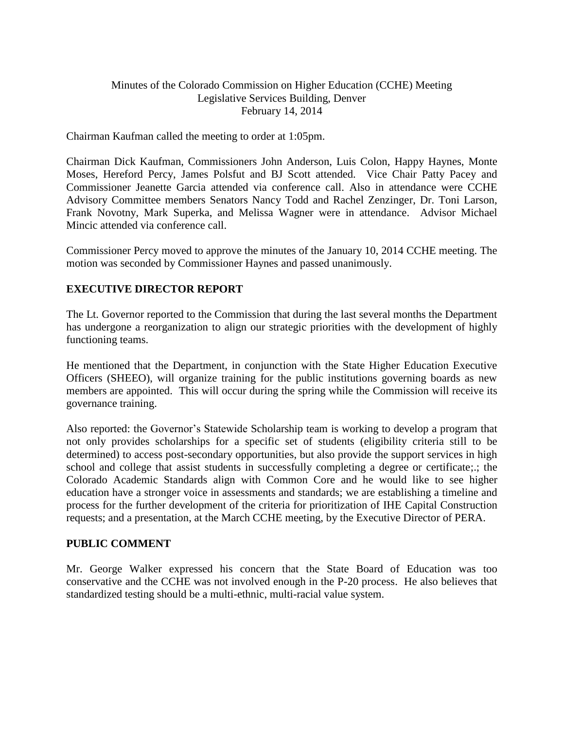## Minutes of the Colorado Commission on Higher Education (CCHE) Meeting Legislative Services Building, Denver February 14, 2014

Chairman Kaufman called the meeting to order at 1:05pm.

Chairman Dick Kaufman, Commissioners John Anderson, Luis Colon, Happy Haynes, Monte Moses, Hereford Percy, James Polsfut and BJ Scott attended. Vice Chair Patty Pacey and Commissioner Jeanette Garcia attended via conference call. Also in attendance were CCHE Advisory Committee members Senators Nancy Todd and Rachel Zenzinger, Dr. Toni Larson, Frank Novotny, Mark Superka, and Melissa Wagner were in attendance. Advisor Michael Mincic attended via conference call.

Commissioner Percy moved to approve the minutes of the January 10, 2014 CCHE meeting. The motion was seconded by Commissioner Haynes and passed unanimously.

## **EXECUTIVE DIRECTOR REPORT**

The Lt. Governor reported to the Commission that during the last several months the Department has undergone a reorganization to align our strategic priorities with the development of highly functioning teams.

He mentioned that the Department, in conjunction with the State Higher Education Executive Officers (SHEEO), will organize training for the public institutions governing boards as new members are appointed. This will occur during the spring while the Commission will receive its governance training.

Also reported: the Governor's Statewide Scholarship team is working to develop a program that not only provides scholarships for a specific set of students (eligibility criteria still to be determined) to access post-secondary opportunities, but also provide the support services in high school and college that assist students in successfully completing a degree or certificate;.; the Colorado Academic Standards align with Common Core and he would like to see higher education have a stronger voice in assessments and standards; we are establishing a timeline and process for the further development of the criteria for prioritization of IHE Capital Construction requests; and a presentation, at the March CCHE meeting, by the Executive Director of PERA.

#### **PUBLIC COMMENT**

Mr. George Walker expressed his concern that the State Board of Education was too conservative and the CCHE was not involved enough in the P-20 process. He also believes that standardized testing should be a multi-ethnic, multi-racial value system.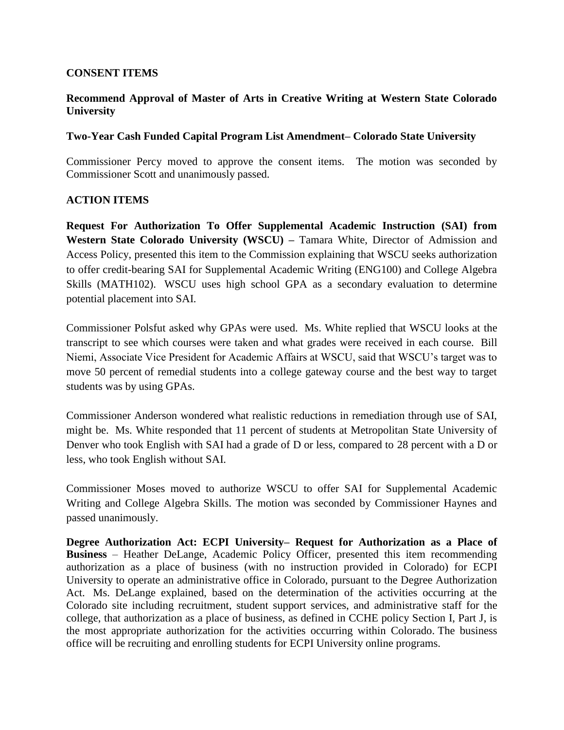#### **CONSENT ITEMS**

## **Recommend Approval of Master of Arts in Creative Writing at Western State Colorado University**

#### **Two-Year Cash Funded Capital Program List Amendment– Colorado State University**

Commissioner Percy moved to approve the consent items. The motion was seconded by Commissioner Scott and unanimously passed.

## **ACTION ITEMS**

**Request For Authorization To Offer Supplemental Academic Instruction (SAI) from Western State Colorado University (WSCU) –** Tamara White, Director of Admission and Access Policy, presented this item to the Commission explaining that WSCU seeks authorization to offer credit-bearing SAI for Supplemental Academic Writing (ENG100) and College Algebra Skills (MATH102). WSCU uses high school GPA as a secondary evaluation to determine potential placement into SAI.

Commissioner Polsfut asked why GPAs were used. Ms. White replied that WSCU looks at the transcript to see which courses were taken and what grades were received in each course. Bill Niemi, Associate Vice President for Academic Affairs at WSCU, said that WSCU's target was to move 50 percent of remedial students into a college gateway course and the best way to target students was by using GPAs.

Commissioner Anderson wondered what realistic reductions in remediation through use of SAI, might be. Ms. White responded that 11 percent of students at Metropolitan State University of Denver who took English with SAI had a grade of D or less, compared to 28 percent with a D or less, who took English without SAI.

Commissioner Moses moved to authorize WSCU to offer SAI for Supplemental Academic Writing and College Algebra Skills. The motion was seconded by Commissioner Haynes and passed unanimously.

**Degree Authorization Act: ECPI University– Request for Authorization as a Place of Business** – Heather DeLange, Academic Policy Officer, presented this item recommending authorization as a place of business (with no instruction provided in Colorado) for ECPI University to operate an administrative office in Colorado, pursuant to the Degree Authorization Act. Ms. DeLange explained, based on the determination of the activities occurring at the Colorado site including recruitment, student support services, and administrative staff for the college, that authorization as a place of business, as defined in CCHE policy Section I, Part J, is the most appropriate authorization for the activities occurring within Colorado. The business office will be recruiting and enrolling students for ECPI University online programs.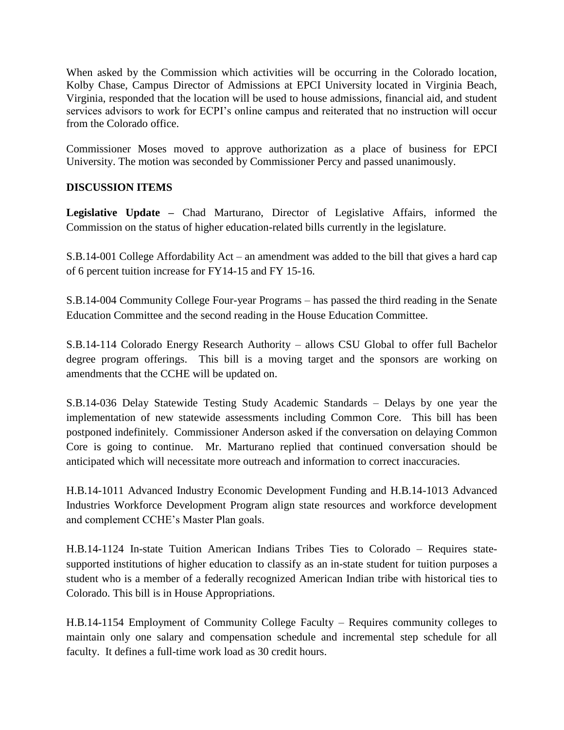When asked by the Commission which activities will be occurring in the Colorado location, Kolby Chase, Campus Director of Admissions at EPCI University located in Virginia Beach, Virginia, responded that the location will be used to house admissions, financial aid, and student services advisors to work for ECPI's online campus and reiterated that no instruction will occur from the Colorado office.

Commissioner Moses moved to approve authorization as a place of business for EPCI University. The motion was seconded by Commissioner Percy and passed unanimously.

# **DISCUSSION ITEMS**

**Legislative Update –** Chad Marturano, Director of Legislative Affairs, informed the Commission on the status of higher education-related bills currently in the legislature.

S.B.14-001 College Affordability Act – an amendment was added to the bill that gives a hard cap of 6 percent tuition increase for FY14-15 and FY 15-16.

S.B.14-004 Community College Four-year Programs – has passed the third reading in the Senate Education Committee and the second reading in the House Education Committee.

S.B.14-114 Colorado Energy Research Authority – allows CSU Global to offer full Bachelor degree program offerings. This bill is a moving target and the sponsors are working on amendments that the CCHE will be updated on.

S.B.14-036 Delay Statewide Testing Study Academic Standards – Delays by one year the implementation of new statewide assessments including Common Core. This bill has been postponed indefinitely. Commissioner Anderson asked if the conversation on delaying Common Core is going to continue. Mr. Marturano replied that continued conversation should be anticipated which will necessitate more outreach and information to correct inaccuracies.

H.B.14-1011 Advanced Industry Economic Development Funding and H.B.14-1013 Advanced Industries Workforce Development Program align state resources and workforce development and complement CCHE's Master Plan goals.

H.B.14-1124 In-state Tuition American Indians Tribes Ties to Colorado – Requires statesupported institutions of higher education to classify as an in-state student for tuition purposes a student who is a member of a federally recognized American Indian tribe with historical ties to Colorado. This bill is in House Appropriations.

H.B.14-1154 Employment of Community College Faculty – Requires community colleges to maintain only one salary and compensation schedule and incremental step schedule for all faculty. It defines a full-time work load as 30 credit hours.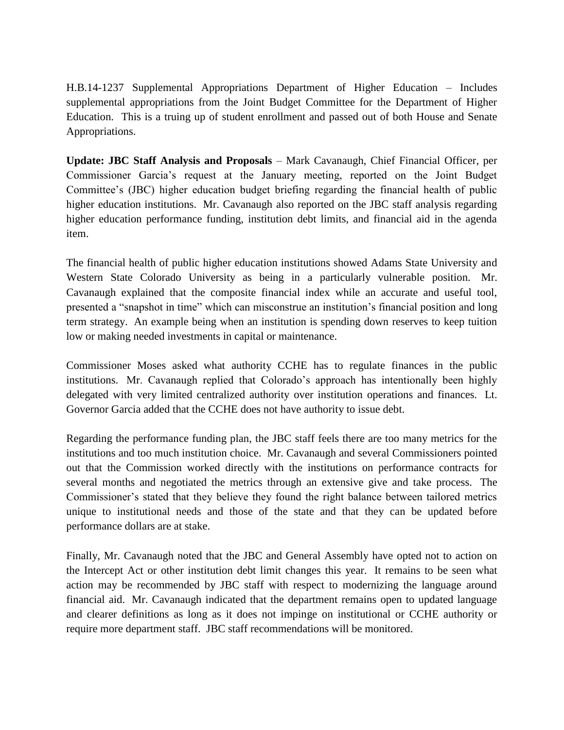H.B.14-1237 Supplemental Appropriations Department of Higher Education – Includes supplemental appropriations from the Joint Budget Committee for the Department of Higher Education. This is a truing up of student enrollment and passed out of both House and Senate Appropriations.

**Update: JBC Staff Analysis and Proposals** – Mark Cavanaugh, Chief Financial Officer, per Commissioner Garcia's request at the January meeting, reported on the Joint Budget Committee's (JBC) higher education budget briefing regarding the financial health of public higher education institutions. Mr. Cavanaugh also reported on the JBC staff analysis regarding higher education performance funding, institution debt limits, and financial aid in the agenda item.

The financial health of public higher education institutions showed Adams State University and Western State Colorado University as being in a particularly vulnerable position. Mr. Cavanaugh explained that the composite financial index while an accurate and useful tool, presented a "snapshot in time" which can misconstrue an institution's financial position and long term strategy. An example being when an institution is spending down reserves to keep tuition low or making needed investments in capital or maintenance.

Commissioner Moses asked what authority CCHE has to regulate finances in the public institutions. Mr. Cavanaugh replied that Colorado's approach has intentionally been highly delegated with very limited centralized authority over institution operations and finances. Lt. Governor Garcia added that the CCHE does not have authority to issue debt.

Regarding the performance funding plan, the JBC staff feels there are too many metrics for the institutions and too much institution choice. Mr. Cavanaugh and several Commissioners pointed out that the Commission worked directly with the institutions on performance contracts for several months and negotiated the metrics through an extensive give and take process. The Commissioner's stated that they believe they found the right balance between tailored metrics unique to institutional needs and those of the state and that they can be updated before performance dollars are at stake.

Finally, Mr. Cavanaugh noted that the JBC and General Assembly have opted not to action on the Intercept Act or other institution debt limit changes this year. It remains to be seen what action may be recommended by JBC staff with respect to modernizing the language around financial aid. Mr. Cavanaugh indicated that the department remains open to updated language and clearer definitions as long as it does not impinge on institutional or CCHE authority or require more department staff. JBC staff recommendations will be monitored.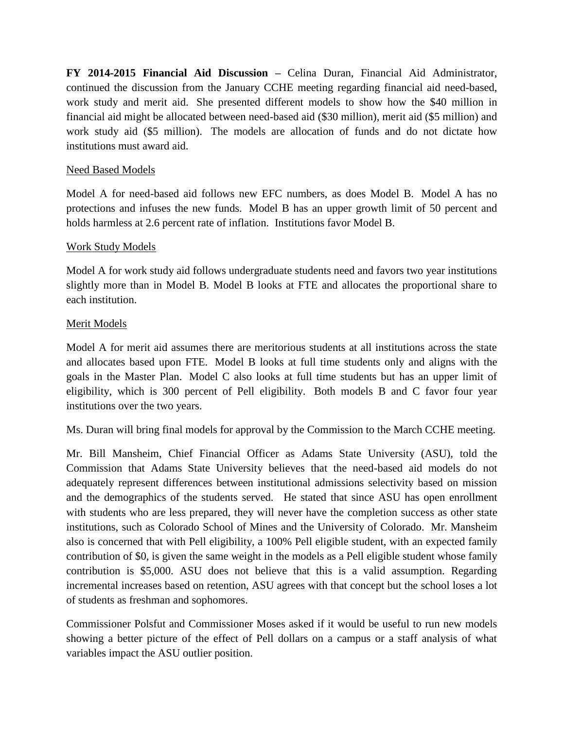**FY 2014-2015 Financial Aid Discussion –** Celina Duran, Financial Aid Administrator, continued the discussion from the January CCHE meeting regarding financial aid need-based, work study and merit aid. She presented different models to show how the \$40 million in financial aid might be allocated between need-based aid (\$30 million), merit aid (\$5 million) and work study aid (\$5 million). The models are allocation of funds and do not dictate how institutions must award aid.

# Need Based Models

Model A for need-based aid follows new EFC numbers, as does Model B. Model A has no protections and infuses the new funds. Model B has an upper growth limit of 50 percent and holds harmless at 2.6 percent rate of inflation. Institutions favor Model B.

# Work Study Models

Model A for work study aid follows undergraduate students need and favors two year institutions slightly more than in Model B. Model B looks at FTE and allocates the proportional share to each institution.

## Merit Models

Model A for merit aid assumes there are meritorious students at all institutions across the state and allocates based upon FTE. Model B looks at full time students only and aligns with the goals in the Master Plan. Model C also looks at full time students but has an upper limit of eligibility, which is 300 percent of Pell eligibility. Both models B and C favor four year institutions over the two years.

Ms. Duran will bring final models for approval by the Commission to the March CCHE meeting.

Mr. Bill Mansheim, Chief Financial Officer as Adams State University (ASU), told the Commission that Adams State University believes that the need-based aid models do not adequately represent differences between institutional admissions selectivity based on mission and the demographics of the students served. He stated that since ASU has open enrollment with students who are less prepared, they will never have the completion success as other state institutions, such as Colorado School of Mines and the University of Colorado. Mr. Mansheim also is concerned that with Pell eligibility, a 100% Pell eligible student, with an expected family contribution of \$0, is given the same weight in the models as a Pell eligible student whose family contribution is \$5,000. ASU does not believe that this is a valid assumption. Regarding incremental increases based on retention, ASU agrees with that concept but the school loses a lot of students as freshman and sophomores.

Commissioner Polsfut and Commissioner Moses asked if it would be useful to run new models showing a better picture of the effect of Pell dollars on a campus or a staff analysis of what variables impact the ASU outlier position.